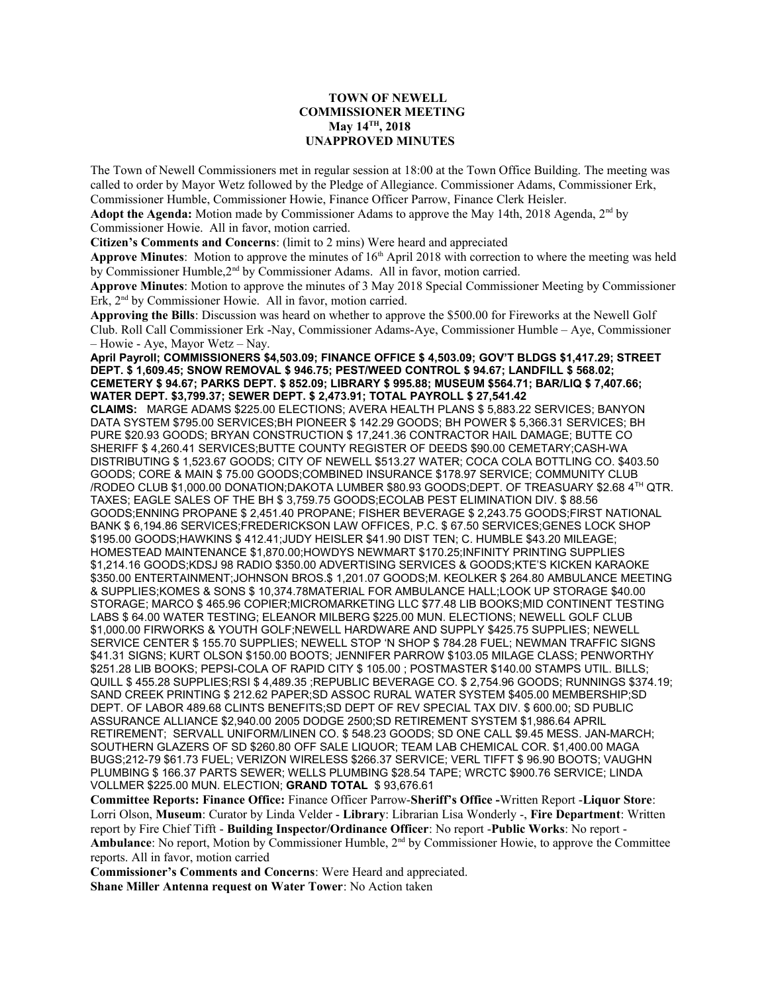## **TOWN OF NEWELL COMMISSIONER MEETING May 14TH, 2018 UNAPPROVED MINUTES**

The Town of Newell Commissioners met in regular session at 18:00 at the Town Office Building. The meeting was called to order by Mayor Wetz followed by the Pledge of Allegiance. Commissioner Adams, Commissioner Erk, Commissioner Humble, Commissioner Howie, Finance Officer Parrow, Finance Clerk Heisler.

**Adopt the Agenda:** Motion made by Commissioner Adams to approve the May 14th, 2018 Agenda, 2nd by Commissioner Howie. All in favor, motion carried.

**Citizen's Comments and Concerns**: (limit to 2 mins) Were heard and appreciated

**Approve Minutes**: Motion to approve the minutes of  $16<sup>th</sup>$  April 2018 with correction to where the meeting was held by Commissioner Humble, 2<sup>nd</sup> by Commissioner Adams. All in favor, motion carried.

**Approve Minutes**: Motion to approve the minutes of 3 May 2018 Special Commissioner Meeting by Commissioner Erk, 2<sup>nd</sup> by Commissioner Howie. All in favor, motion carried.

**Approving the Bills**: Discussion was heard on whether to approve the \$500.00 for Fireworks at the Newell Golf Club. Roll Call Commissioner Erk -Nay, Commissioner Adams-Aye, Commissioner Humble – Aye, Commissioner – Howie - Aye, Mayor Wetz – Nay.

**April Payroll; COMMISSIONERS \$4,503.09; FINANCE OFFICE \$ 4,503.09; GOV'T BLDGS \$1,417.29; STREET DEPT. \$ 1,609.45; SNOW REMOVAL \$ 946.75; PEST/WEED CONTROL \$ 94.67; LANDFILL \$ 568.02; CEMETERY \$ 94.67; PARKS DEPT. \$ 852.09; LIBRARY \$ 995.88; MUSEUM \$564.71; BAR/LIQ \$ 7,407.66; WATER DEPT. \$3,799.37; SEWER DEPT. \$ 2,473.91; TOTAL PAYROLL \$ 27,541.42**

**CLAIMS:** MARGE ADAMS \$225.00 ELECTIONS; AVERA HEALTH PLANS \$ 5,883.22 SERVICES; BANYON DATA SYSTEM \$795.00 SERVICES;BH PIONEER \$ 142.29 GOODS; BH POWER \$ 5,366.31 SERVICES; BH PURE \$20.93 GOODS; BRYAN CONSTRUCTION \$ 17,241.36 CONTRACTOR HAIL DAMAGE; BUTTE CO SHERIFF \$ 4,260.41 SERVICES;BUTTE COUNTY REGISTER OF DEEDS \$90.00 CEMETARY;CASH-WA DISTRIBUTING \$ 1,523.67 GOODS; CITY OF NEWELL \$513.27 WATER; COCA COLA BOTTLING CO. \$403.50 GOODS; CORE & MAIN \$ 75.00 GOODS;COMBINED INSURANCE \$178.97 SERVICE; COMMUNITY CLUB /RODEO CLUB \$1,000.00 DONATION;DAKOTA LUMBER \$80.93 GOODS;DEPT. OF TREASUARY \$2.68 4TH QTR. TAXES; EAGLE SALES OF THE BH \$ 3,759.75 GOODS;ECOLAB PEST ELIMINATION DIV. \$ 88.56 GOODS;ENNING PROPANE \$ 2,451.40 PROPANE; FISHER BEVERAGE \$ 2,243.75 GOODS;FIRST NATIONAL BANK \$ 6,194.86 SERVICES;FREDERICKSON LAW OFFICES, P.C. \$ 67.50 SERVICES;GENES LOCK SHOP \$195.00 GOODS;HAWKINS \$ 412.41;JUDY HEISLER \$41.90 DIST TEN; C. HUMBLE \$43.20 MILEAGE; HOMESTEAD MAINTENANCE \$1,870.00;HOWDYS NEWMART \$170.25;INFINITY PRINTING SUPPLIES \$1,214.16 GOODS;KDSJ 98 RADIO \$350.00 ADVERTISING SERVICES & GOODS;KTE'S KICKEN KARAOKE \$350.00 ENTERTAINMENT;JOHNSON BROS.\$ 1,201.07 GOODS;M. KEOLKER \$ 264.80 AMBULANCE MEETING & SUPPLIES;KOMES & SONS \$ 10,374.78MATERIAL FOR AMBULANCE HALL;LOOK UP STORAGE \$40.00 STORAGE; MARCO \$ 465.96 COPIER;MICROMARKETING LLC \$77.48 LIB BOOKS;MID CONTINENT TESTING LABS \$ 64.00 WATER TESTING; ELEANOR MILBERG \$225.00 MUN. ELECTIONS; NEWELL GOLF CLUB \$1,000.00 FIRWORKS & YOUTH GOLF;NEWELL HARDWARE AND SUPPLY \$425.75 SUPPLIES; NEWELL SERVICE CENTER \$ 155.70 SUPPLIES; NEWELL STOP 'N SHOP \$ 784.28 FUEL; NEWMAN TRAFFIC SIGNS \$41.31 SIGNS; KURT OLSON \$150.00 BOOTS; JENNIFER PARROW \$103.05 MILAGE CLASS; PENWORTHY \$251.28 LIB BOOKS; PEPSI-COLA OF RAPID CITY \$ 105.00 ; POSTMASTER \$140.00 STAMPS UTIL. BILLS; QUILL \$ 455.28 SUPPLIES;RSI \$ 4,489.35 ;REPUBLIC BEVERAGE CO. \$ 2,754.96 GOODS; RUNNINGS \$374.19; SAND CREEK PRINTING \$ 212.62 PAPER;SD ASSOC RURAL WATER SYSTEM \$405.00 MEMBERSHIP;SD DEPT. OF LABOR 489.68 CLINTS BENEFITS;SD DEPT OF REV SPECIAL TAX DIV. \$ 600.00; SD PUBLIC ASSURANCE ALLIANCE \$2,940.00 2005 DODGE 2500;SD RETIREMENT SYSTEM \$1,986.64 APRIL RETIREMENT; SERVALL UNIFORM/LINEN CO. \$ 548.23 GOODS; SD ONE CALL \$9.45 MESS. JAN-MARCH; SOUTHERN GLAZERS OF SD \$260.80 OFF SALE LIQUOR; TEAM LAB CHEMICAL COR. \$1,400.00 MAGA BUGS;212-79 \$61.73 FUEL; VERIZON WIRELESS \$266.37 SERVICE; VERL TIFFT \$ 96.90 BOOTS; VAUGHN PLUMBING \$ 166.37 PARTS SEWER; WELLS PLUMBING \$28.54 TAPE; WRCTC \$900.76 SERVICE; LINDA VOLLMER \$225.00 MUN. ELECTION; **GRAND TOTAL** \$ 93,676.61

**Committee Reports: Finance Office:** Finance Officer Parrow-**Sheriff's Office -**Written Report -**Liquor Store**: Lorri Olson, **Museum**: Curator by Linda Velder - **Library**: Librarian Lisa Wonderly -, **Fire Department**: Written report by Fire Chief Tifft - **Building Inspector/Ordinance Officer**: No report -**Public Works**: No report - **Ambulance**: No report, Motion by Commissioner Humble, 2<sup>nd</sup> by Commissioner Howie, to approve the Committee reports. All in favor, motion carried

**Commissioner's Comments and Concerns**: Were Heard and appreciated. **Shane Miller Antenna request on Water Tower**: No Action taken